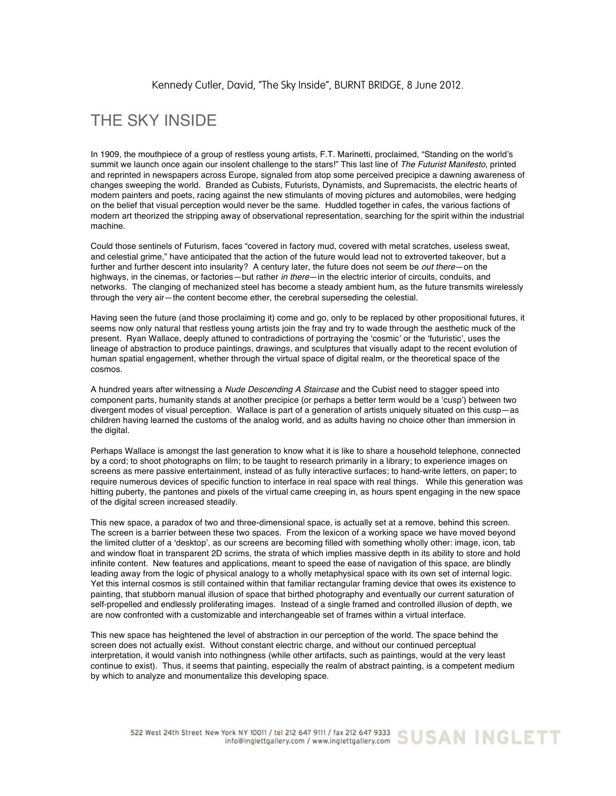## THE SKY INSIDE

In 1909, the mouthpiece of a group of restless young artists, F.T. Marinetti, proclaimed, "Standing on the world's summit we launch once again our insolent challenge to the stars!" This last line of *The Futurist Manifesto*, printed and reprinted in newspapers across Europe, signaled from atop some perceived precipice a dawning awareness of changes sweeping the world. Branded as Cubists, Futurists, Dynamists, and Supremacists, the electric hearts of modern painters and poets, racing against the new stimulants of moving pictures and automobiles, were hedging on the belief that visual perception would never be the same. Huddled together in cafes, the various factions of modern art theorized the stripping away of observational representation, searching for the spirit within the industrial machine.

Could those sentinels of Futurism, faces "covered in factory mud, covered with metal scratches, useless sweat, and celestial grime," have anticipated that the action of the future would lead not to extroverted takeover, but a further and further descent into insularity? A century later, the future does not seem be *out there*—on the highways, in the cinemas, or factories—but rather *in there*—in the electric interior of circuits, conduits, and networks. The clanging of mechanized steel has become a steady ambient hum, as the future transmits wirelessly through the very air—the content become ether, the cerebral superseding the celestial.

Having seen the future (and those proclaiming it) come and go, only to be replaced by other propositional futures, it seems now only natural that restless young artists join the fray and try to wade through the aesthetic muck of the present. Ryan Wallace, deeply attuned to contradictions of portraying the 'cosmic' or the 'futuristic', uses the lineage of abstraction to produce paintings, drawings, and sculptures that visually adapt to the recent evolution of human spatial engagement, whether through the virtual space of digital realm, or the theoretical space of the cosmos.

A hundred years after witnessing a *Nude Descending A Staircase* and the Cubist need to stagger speed into component parts, humanity stands at another precipice (or perhaps a better term would be a 'cusp') between two divergent modes of visual perception. Wallace is part of a generation of artists uniquely situated on this cusp—as children having learned the customs of the analog world, and as adults having no choice other than immersion in the digital.

Perhaps Wallace is amongst the last generation to know what it is like to share a household telephone, connected by a cord; to shoot photographs on film; to be taught to research primarily in a library; to experience images on screens as mere passive entertainment, instead of as fully interactive surfaces; to hand-write letters, on paper; to require numerous devices of specific function to interface in real space with real things. While this generation was hitting puberty, the pantones and pixels of the virtual came creeping in, as hours spent engaging in the new space of the digital screen increased steadily.

This new space, a paradox of two and three-dimensional space, is actually set at a remove, behind this screen. The screen is a barrier between these two spaces. From the lexicon of a working space we have moved beyond the limited clutter of a 'desktop', as our screens are becoming filled with something wholly other: image, icon, tab and window float in transparent 2D scrims, the strata of which implies massive depth in its ability to store and hold infinite content. New features and applications, meant to speed the ease of navigation of this space, are blindly leading away from the logic of physical analogy to a wholly metaphysical space with its own set of internal logic. Yet this internal cosmos is still contained within that familiar rectangular framing device that owes its existence to painting, that stubborn manual illusion of space that birthed photography and eventually our current saturation of self-propelled and endlessly proliferating images. Instead of a single framed and controlled illusion of depth, we are now confronted with a customizable and interchangeable set of frames within a virtual interface.

This new space has heightened the level of abstraction in our perception of the world. The space behind the screen does not actually exist. Without constant electric charge, and without our continued perceptual interpretation, it would vanish into nothingness (while other artifacts, such as paintings, would at the very least continue to exist). Thus, it seems that painting, especially the realm of abstract painting, is a competent medium by which to analyze and monumentalize this developing space.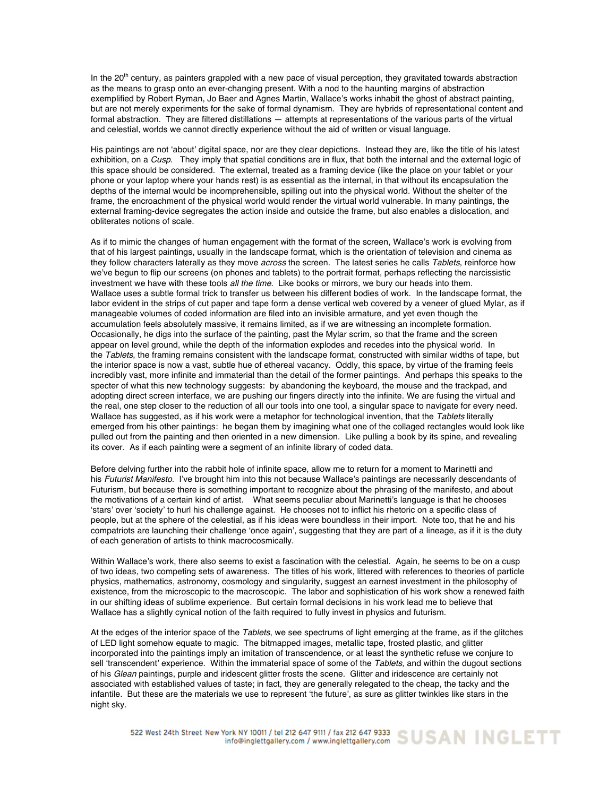In the  $20<sup>th</sup>$  century, as painters grappled with a new pace of visual perception, they gravitated towards abstraction as the means to grasp onto an ever-changing present. With a nod to the haunting margins of abstraction exemplified by Robert Ryman, Jo Baer and Agnes Martin, Wallace's works inhabit the ghost of abstract painting, but are not merely experiments for the sake of formal dynamism. They are hybrids of representational content and formal abstraction. They are filtered distillations — attempts at representations of the various parts of the virtual and celestial, worlds we cannot directly experience without the aid of written or visual language.

His paintings are not 'about' digital space, nor are they clear depictions. Instead they are, like the title of his latest exhibition, on a *Cusp*. They imply that spatial conditions are in flux, that both the internal and the external logic of this space should be considered. The external, treated as a framing device (like the place on your tablet or your phone or your laptop where your hands rest) is as essential as the internal, in that without its encapsulation the depths of the internal would be incomprehensible, spilling out into the physical world. Without the shelter of the frame, the encroachment of the physical world would render the virtual world vulnerable. In many paintings, the external framing-device segregates the action inside and outside the frame, but also enables a dislocation, and obliterates notions of scale.

As if to mimic the changes of human engagement with the format of the screen, Wallace's work is evolving from that of his largest paintings, usually in the landscape format, which is the orientation of television and cinema as they follow characters laterally as they move *across* the screen. The latest series he calls *Tablets*, reinforce how we've begun to flip our screens (on phones and tablets) to the portrait format, perhaps reflecting the narcissistic investment we have with these tools *all the time*. Like books or mirrors, we bury our heads into them. Wallace uses a subtle formal trick to transfer us between his different bodies of work. In the landscape format, the labor evident in the strips of cut paper and tape form a dense vertical web covered by a veneer of glued Mylar, as if manageable volumes of coded information are filed into an invisible armature, and yet even though the accumulation feels absolutely massive, it remains limited, as if we are witnessing an incomplete formation. Occasionally, he digs into the surface of the painting, past the Mylar scrim, so that the frame and the screen appear on level ground, while the depth of the information explodes and recedes into the physical world. In the *Tablets*, the framing remains consistent with the landscape format, constructed with similar widths of tape, but the interior space is now a vast, subtle hue of ethereal vacancy. Oddly, this space, by virtue of the framing feels incredibly vast, more infinite and immaterial than the detail of the former paintings. And perhaps this speaks to the specter of what this new technology suggests: by abandoning the keyboard, the mouse and the trackpad, and adopting direct screen interface, we are pushing our fingers directly into the infinite. We are fusing the virtual and the real, one step closer to the reduction of all our tools into one tool, a singular space to navigate for every need. Wallace has suggested, as if his work were a metaphor for technological invention, that the *Tablets* literally emerged from his other paintings: he began them by imagining what one of the collaged rectangles would look like pulled out from the painting and then oriented in a new dimension. Like pulling a book by its spine, and revealing its cover. As if each painting were a segment of an infinite library of coded data.

Before delving further into the rabbit hole of infinite space, allow me to return for a moment to Marinetti and his *Futurist Manifesto*. I've brought him into this not because Wallace's paintings are necessarily descendants of Futurism, but because there is something important to recognize about the phrasing of the manifesto, and about the motivations of a certain kind of artist. What seems peculiar about Marinetti's language is that he chooses 'stars' over 'society' to hurl his challenge against. He chooses not to inflict his rhetoric on a specific class of people, but at the sphere of the celestial, as if his ideas were boundless in their import. Note too, that he and his compatriots are launching their challenge 'once again', suggesting that they are part of a lineage, as if it is the duty of each generation of artists to think macrocosmically.

Within Wallace's work, there also seems to exist a fascination with the celestial. Again, he seems to be on a cusp of two ideas, two competing sets of awareness. The titles of his work, littered with references to theories of particle physics, mathematics, astronomy, cosmology and singularity, suggest an earnest investment in the philosophy of existence, from the microscopic to the macroscopic. The labor and sophistication of his work show a renewed faith in our shifting ideas of sublime experience. But certain formal decisions in his work lead me to believe that Wallace has a slightly cynical notion of the faith required to fully invest in physics and futurism.

At the edges of the interior space of the *Tablets*, we see spectrums of light emerging at the frame, as if the glitches of LED light somehow equate to magic. The bitmapped images, metallic tape, frosted plastic, and glitter incorporated into the paintings imply an imitation of transcendence, or at least the synthetic refuse we conjure to sell 'transcendent' experience. Within the immaterial space of some of the *Tablets*, and within the dugout sections of his *Glean* paintings, purple and iridescent glitter frosts the scene. Glitter and iridescence are certainly not associated with established values of taste; in fact, they are generally relegated to the cheap, the tacky and the infantile. But these are the materials we use to represent 'the future', as sure as glitter twinkles like stars in the night sky.

522 West 24th Street New York NY 10011 / tel 212 647 9111 / fax 212 647 9333 SUSAN INGLETT